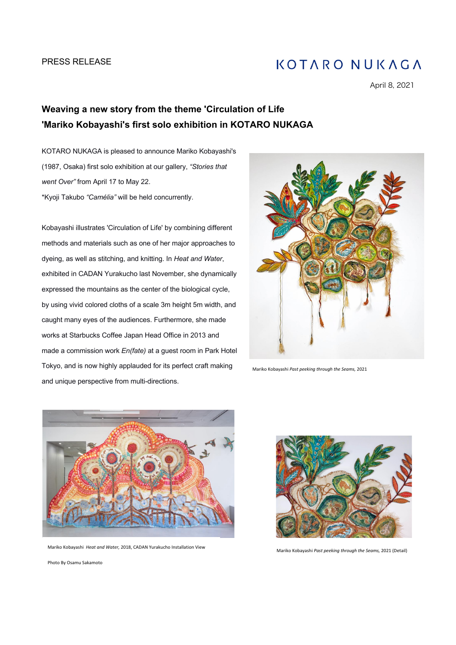# **KOTARO NUKAGA**

April 8, 2021

# **Weaving a new story from the theme 'Circulation of Life 'Mariko Kobayashi's first solo exhibition in KOTARO NUKAGA**

KOTARO NUKAGA is pleased to announce Mariko Kobayashi's (1987, Osaka) first solo exhibition at our gallery, *"Stories that went Over"* from April 17 to May 22. \*Kyoji Takubo *"Camélia"* will be held concurrently.

Kobayashi illustrates 'Circulation of Life' by combining different methods and materials such as one of her major approaches to dyeing, as well as stitching, and knitting. In *Heat and Water*, exhibited in CADAN Yurakucho last November, she dynamically expressed the mountains as the center of the biological cycle, by using vivid colored cloths of a scale 3m height 5m width, and caught many eyes of the audiences. Furthermore, she made works at Starbucks Coffee Japan Head Office in 2013 and made a commission work *En(fate)* at a guest room in Park Hotel Tokyo, and is now highly applauded for its perfect craft making and unique perspective from multi-directions.



Mariko Kobayashi *Past peeking through the Seams,* 2021



Mariko Kobayashi *Heat and Water,* 2018, CADAN Yurakucho Installation View Mariko Kobayashi *Past peeking through the Seams,* 2021 (Detail)



Photo By Osamu Sakamoto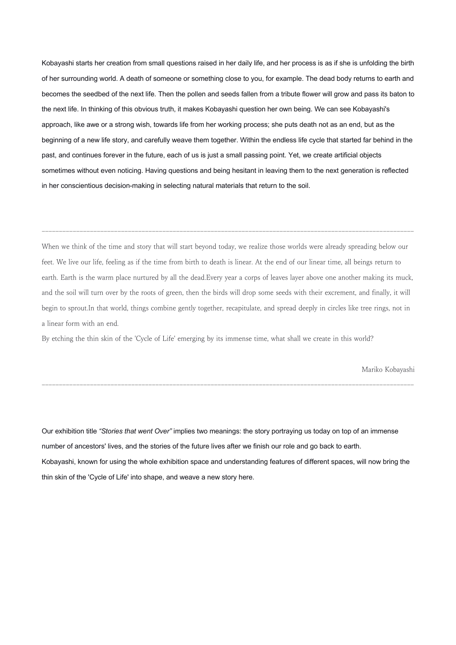Kobayashi starts her creation from small questions raised in her daily life, and her process is as if she is unfolding the birth of her surrounding world. A death of someone or something close to you, for example. The dead body returns to earth and becomes the seedbed of the next life. Then the pollen and seeds fallen from a tribute flower will grow and pass its baton to the next life. In thinking of this obvious truth, it makes Kobayashi question her own being. We can see Kobayashi's approach, like awe or a strong wish, towards life from her working process; she puts death not as an end, but as the beginning of a new life story, and carefully weave them together. Within the endless life cycle that started far behind in the past, and continues forever in the future, each of us is just a small passing point. Yet, we create artificial objects sometimes without even noticing. Having questions and being hesitant in leaving them to the next generation is reflected in her conscientious decision-making in selecting natural materials that return to the soil.

When we think of the time and story that will start beyond today, we realize those worlds were already spreading below our feet. We live our life, feeling as if the time from birth to death is linear. At the end of our linear time, all beings return to earth. Earth is the warm place nurtured by all the dead.Every year a corps of leaves layer above one another making its muck, and the soil will turn over by the roots of green, then the birds will drop some seeds with their excrement, and finally, it will begin to sprout.In that world, things combine gently together, recapitulate, and spread deeply in circles like tree rings, not in a linear form with an end.

------------------------------------------------------------------------------------------------------------

By etching the thin skin of the 'Cycle of Life' emerging by its immense time, what shall we create in this world?

Mariko Kobayashi

Our exhibition title *"Stories that went Over"* implies two meanings: the story portraying us today on top of an immense number of ancestors' lives, and the stories of the future lives after we finish our role and go back to earth. Kobayashi, known for using the whole exhibition space and understanding features of different spaces, will now bring the thin skin of the 'Cycle of Life' into shape, and weave a new story here.

------------------------------------------------------------------------------------------------------------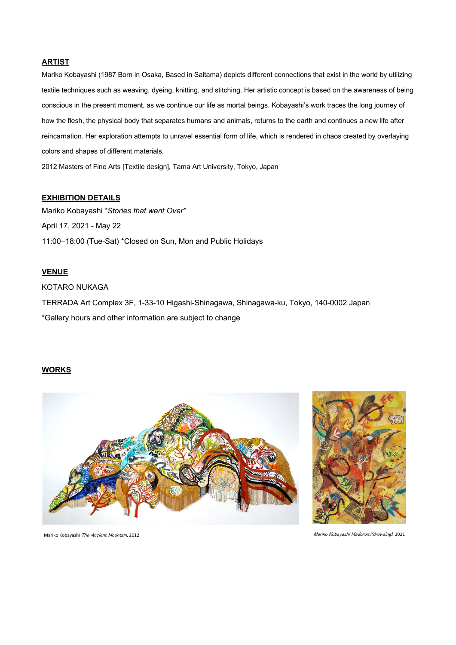#### **ARTIST**

Mariko Kobayashi (1987 Born in Osaka, Based in Saitama) depicts different connections that exist in the world by utilizing textile techniques such as weaving, dyeing, knitting, and stitching. Her artistic concept is based on the awareness of being conscious in the present moment, as we continue our life as mortal beings. Kobayashi's work traces the long journey of how the flesh, the physical body that separates humans and animals, returns to the earth and continues a new life after reincarnation. Her exploration attempts to unravel essential form of life, which is rendered in chaos created by overlaying colors and shapes of different materials.

2012 Masters of Fine Arts [Textile design], Tama Art University, Tokyo, Japan

#### **EXHIBITION DETAILS**

Mariko Kobayashi "*Stories that went Over"* April 17, 2021 - May 22 11:00−18:00 (Tue-Sat) \*Closed on Sun, Mon and Public Holidays

### **VENUE**

KOTARO NUKAGA TERRADA Art Complex 3F, 1-33-10 Higashi-Shinagawa, Shinagawa-ku, Tokyo, 140-0002 Japan \*Gallery hours and other information are subject to change

#### **WORKS**





Mariko Kobayashi The Ancient Mountain, 2012 Mariko Kobayashi Madoromi(drowsing), 2021